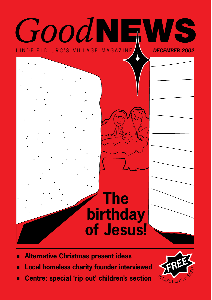

- **Alternative Christmas present ideas** п
- **Local homeless charity founder interviewed** п
- **Centre: special 'rip out' children's section**   $\blacksquare$

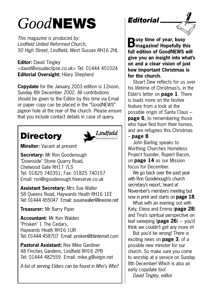## *Good***NEWS**

*This magazine is produced by: Lindfield United Reformed Church, 50 High Street, Lindfield, West Sussex RH16 2HL*

**Editor:** David Tingley <david@visualeclipse.co.uk> Tel: 01444 451024 **Editorial Oversight:** Hilary Shepherd

**Copydate** for the January 2003 edition is 12noon, Sunday 8th December 2002. All contributions should be given to the Editor by this time via Email or paper copy can be placed in the "GoodNEWS" pigeon hole at the rear of the church. Please ensure that you include contact details in case of query.

## **Directory**



**Minsiter:** Vacant at present

**Secretary:** Mr Ron Goodenough "Downside" Stone Quarry Road, Chelwood Gate RH17 7LS Tel: 01825 740351; Fax: 01825 740157 Email: ron@rgoodenough.freeserve.co.uk

**Assistant Secretary:** Mrs Sue Waller 58 Queens Road, Haywards Heath RH16 1EE Tel: 01444 455047 Email: susanwaller@lineone net

**Treasurer:** Mr Barry Piper

**Accountant:** Mr Ken Walden "Prisken" 1 The Cedars, Haywards Heath RH16 1UR Tel: 01444 458707 Email: prisken@btinternet.com

**Pastoral Assistant:** Rev Mike Gardiner 48 Finches Gardens, Lindfield RH16 2PB Tel: 01444 482559 Email: mike.g@virgin.net

*A list of serving Elders can be found in Who's Who?*

*Editorial*



**Busy time of year, busy magazine! Hopefully this full edition of GoodNEWS will give you an insight into what's on and a clear vision of just how important Christmas is for the church.**

Stuart Dew reflects for us over his lifetime of Christmas's, in the Elder's letter on **page 1**. There is loads more on the festive feature from a look at the possible origin of Santa Claus – **page 6.** to remembering those who have fled from their homes, and are refugees this Christmas – **page 8**.

John Barling speaks to Worthing Churches Homeless Project founder, Rupert Bacon, on **page 14** as our Mission focus for December.

We go back over the past year with Ron Goodenough's church secretary's report, heard at November's members meeting but now in print and starts on **page 18**.

What with an evening out with Katy, Elena and Emma (**page 28**) and Tina's spiritual perspective on leaf sweeping (**page 26**) – you'd think we couldn't get any more in!

But you'd be wrong! There is exciting news on **page 3**, of a possible new minister for our church. So make sure you come to worship at a service on Sunday 8th December! Which is also an early copydate too! *David Tingley, editor*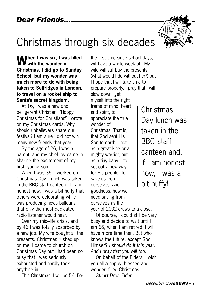## Christmas through six decades

**M** hen I was six, I was filled **with the wonder of Christmas. I did go to Sunday School, but my wonder was much more to do with being taken to Selfridges in London, to travel on a rocket ship to Santa's secret kingdom.**

At 16, I was a new and belligerent Christian. "Happy Christmas for Christians" I wrote on my Christmas cards. Why should unbelievers share our festival? I am sure I did not win many new friends that year.

By the age of 26, I was a parent, and my chief joy came in sharing the excitement of my first, young son.

When I was 36, I worked on Christmas Day. Lunch was taken in the BBC staff canteen. If I am honest now, I was a bit huffy that others were celebrating while I was producing news bulletins that only the most dedicated radio listener would hear.

Over my mid–life crisis, and by 46 I was totally absorbed by a new job. My wife bought all the presents. Christmas rushed up on me. I came to church on Christmas Day but I had been so busy that I was seriously exhausted and hardly took anything in.

This Christmas, I will be 56. For

the first time since school days, I will have a whole week off. My wife will still buy the presents, (what would I do without her?) but I hope that I will take time to prepare properly. I pray that I will slow down, get myself into the right frame of mind, heart and spirit, to appreciate the true wonder of Christmas. That is, that God sent His Son to earth – not as a great king or a mighty warrior, but as a tiny baby – to set out a new way for His people. To save us from ourselves. And goodness, how we need saving from ourselves as the

year of 2002 draws to a close.

Of course, I could still be very busy and decide to wait until I am 66, when I am retired. I will have more time then. But who knows the future, except God Himself? *I should do it this year. And I pray that you will too.*

On behalf of the Elders, I wish you all a happy, blessed and wonder–filled Christmas.

*Stuart Dew, Elder*

Christmas Day lunch was taken in the BBC staff canteen and, if I am honest now, I was a bit huffy!



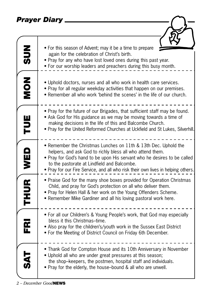#### *Prayer Diary*

| Prayer Diary   |                                                                                                                                                                                                                                                                                                                                             |
|----------------|---------------------------------------------------------------------------------------------------------------------------------------------------------------------------------------------------------------------------------------------------------------------------------------------------------------------------------------------|
|                |                                                                                                                                                                                                                                                                                                                                             |
| NON SUN        | • For this season of Advent; may it be a time to prepare<br>again for the celebration of Christ's birth.<br>• Pray for any who have lost loved ones during this past year.<br>• For our worship leaders and preachers during this busy month.                                                                                               |
|                | • Uphold doctors, nurses and all who work in health care services.<br>• Pray for all regular weekday activities that happen on our premises.<br>• Remember all who work 'behind the scenes' in the life of our church.                                                                                                                      |
| TUE            | • Pray for the future of our Brigades, that sufficient staff may be found.<br>• Ask God for His guidance as we may be moving towards a time of<br>making decisions in the life of this and Balcombe Church.<br>. Pray for the United Reformed Churches at Uckfield and St Lukes, Silverhill.                                                |
|                | • Remember the Christmas Lunches on 11th & 13th Dec. Uphold the<br>helpers, and ask God to richly bless all who attend them.<br>• Pray for God's hand to be upon His servant who he desires to be called<br>to the pastorate at Lindfield and Balcombe.<br>• Pray for our Fire Service, and all who risk their own lives in helping others. |
| THUR WED       | • Praise God for the many shoe boxes provided for Operation Christmas<br>Child, and pray for God's protection on all who deliver them.<br>• Pray for Helen Hall & her work on the Young Offenders Scheme.<br>• Remember Mike Gardiner and all his loving pastoral work here.                                                                |
| FR.            | • For all our Children's & Young People's work, that God may especially<br>bless it this Christmas-time.<br>• Also pray for the children's/youth work in the Sussex East District<br>• For the Meeting of District Council on Friday 6th December.                                                                                          |
| $\overline{A}$ | • Thank God for Compton House and its 10th Anniversary in November<br>. Uphold all who are under great pressures at this season;<br>the shop-keepers, the postmen, hospital staff and individuals.<br>• Pray for the elderly, the house-bound & all who are unwell.                                                                         |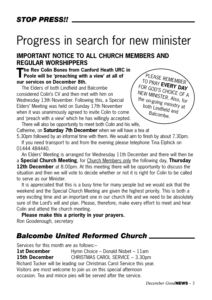## Progress in search for new minister

#### **IMPORTANT NOTICE TO ALL CHURCH MEMBERS AND REGULAR WORSHIPPERS**

#### **The Rev Colin Bones from Canford Heath URC in Poole will be 'preaching with a view' at all of our services on December 8th.**

The Elders of both Lindfield and Balcombe considered Colin's CV and then met with him on Wednesday 13th November. Following this, a Special Elders' Meeting was held on Sunday 17th November when it was unanimously agreed to invite Colin to come and 'preach with a view' which he has willingly accepted. There will also be opportunity to meet both Colin and his wife,



Catherine, on **Saturday 7th December** when we will have a tea at

5.30pm followed by an informal time with them. We would aim to finish by about 7.30pm. If you need transport to and from the evening please telephone Tina Elphick on 01444 484440.

An Elders' Meeting is arranged for Wednesday 11th December and there will then be a **Special Church Meeting**, for Church Members only the following day, **Thursday 12th December** at 8.00pm. At this meeting there will be opportunity to discuss the situation and then we will vote to decide whether or not it is right for Colin to be called to serve as our Minister.

It is appreciated that this is a busy time for many people but we would ask that the weekend and the Special Church Meeting are given the highest priority. This is both a very exciting time and an important one in our church life and we need to be absolutely sure of the Lord's will and plan. Please, therefore, make every effort to meet and hear Colin and attend the church meeting.

**Please make this a priority in your prayers.**  *Ron Goodenough, secretary* 

#### *Balcombe United Reformed Church*

Services for this month are as follows:–

**1st December** Hymn Choice – Donald Nisbet – 11am **15th December** CHRISTMAS CAROL SERVICE – 3.30pm Richard Tucker will be leading our Christmas Carol Service this year. Visitors are most welcome to join us on this special afternoon occasion. Tea and mince pies will be served after the service.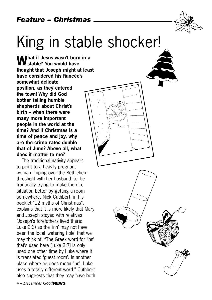

## King in stable shocker!

**What if Jesus wasn't born in a stable? You would have thought that Joseph might at least have considered his fiancée's somewhat delicate position, as they entered the town! Why did God bother telling humble shepherds about Christ's birth – when there were many more important people in the world at the time? And if Christmas is a time of peace and joy, why are the crime rates double that of June? Above all, what does it matter to me?**

The traditional nativity appears to point to a heavily pregnant woman limping over the Bethlehem threshold with her husband–to–be frantically trying to make the dire situation better by getting a room somewhere. Nick Cuthbert, in his booklet "12 myths of Christmas", explains that it is more likely that Mary and Joseph stayed with relatives (Joseph's forefathers lived there: Luke 2:3) as the 'inn' may not have been the local 'watering hole' that we may think of. "The Greek word for 'inn' that's used here [Luke 3:7] is only used one other time by Luke where it is translated 'guest room'. In another place where he does mean 'inn', Luke uses a totally different word." Cuthbert also suggests that they may have both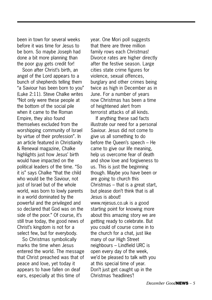been in town for several weeks before it was time for Jesus to be born. So maybe Joseph had done a bit more planning than the poor guy gets credit for!

Soon after Christ's birth, an angel of the Lord appears to a bunch of shepherds telling them "a Saviour has been born to you" (Luke 2:11). Steve Chalke writes "Not only were these people at the bottom of the social pile when it came to the Roman Empire, they also found themselves excluded from the worshipping community of Israel by virtue of their profession". In an article featured in Christianity & Renewal magazine, Chalke highlights just how Jesus' birth would have impacted on the political leaders of the time. "So it is" says Chalke "that the child who would be the Saviour, not just of Israel but of the whole world, was born to lowly parents in a world dominated by the powerful and the privileged and so declared that God was on the side of the poor." Of course, it's still true today, the good news of Christ's kingdom is not for a select few, but for everybody.

So Christmas symbolically marks the time when Jesus entered the world. The message that Christ preached was that of peace and love, yet today it appears to have fallen on deaf ears, especially at this time of

year. One Mori poll suggests that there are three million family rows each Christmas! Divorce rates are higher directly after the festive season. Large cities state crime figures for violence, sexual offences, burglary and other crimes being twice as high in December as in June. For a number of years now Christmas has been a time of heightened alert from terrorist attacks of all kinds.

If anything these sad facts illustrate our need for a personal Saviour. Jesus did not come to give us all something to do before the Queen's speech – He came to give our life meaning, help us overcome fear of death and show love and forgiveness to us. This is just the beginning though. Maybe you have been or are going to church this Christmas – that is a great start, but please don't think that is all Jesus is about! www.rejesus.co.uk is a good starting point for knowing more about this amazing story we are getting ready to celebrate. But you could of course come in to the church for a chat, just like many of our High Street neighbours – Lindfield URC is open every day of the week, we'd be pleased to talk with you at this special time of year. Don't just get caught up in the Christmas 'headlines'!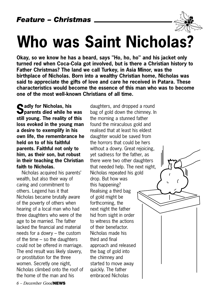

**Okay, so we know he has a beard, says "Ho, ho, ho" and his jacket only turned red when Coca-Cola got involved, but is there a Christian history to Father Christmas? The land we call Turkey, in Asia Minor, was the birthplace of Nicholas. Born into a wealthy Christian home, Nicholas was said to appreciate the gifts of love and care he received in Patara. These characteristics would become the essence of this man who was to become one of the most well-known Christians of all time.**

**Cadly for Nicholas, his parents died while he was still young. The reality of this loss evoked in the young man a desire to exemplify in his own life, the remembrance he held on to of his faithful parents. Faithful not only to him, as their son, but robust in their teaching the Christian faith to Nicholas.**

Nicholas acquired his parents' wealth, but also their way of caring and commitment to others. Legend has it that Nicholas became brutally aware of the poverty of others when hearing of a local man who had three daughters who were of the age to be married. The father lacked the financial and material needs for a dowry – the custom of the time – so the daughters could not be offered in marriage. The end result was likely slavery, or prostitution for the three women. Secretly one night, Nicholas climbed onto the roof of the home of the man and his

daughters, and dropped a round bag of gold down the chimney. In the morning a stunned father found the miraculous gold and realised that at least his eldest daughter would be saved from the horrors that could be hers without a dowry. Great rejoicing, yet sadness for the father, as there were two other daughters that needed help. The next night, Nicholas repeated his gold drop. But how was this happening? Realising a third bag of gold might be forthcoming, the next night the father hid from sight in order to witness the actions of their benefactor. Nicholas made his third and final approach and released the bag of gold into the chimney and started to move away quickly. The father embraced Nicholas

*6 – December Good***NEWS**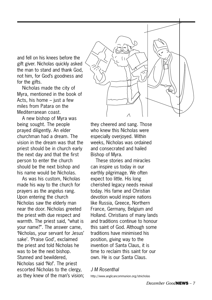and fell on his knees before the gift giver. Nicholas quickly asked the man to stand and thank God, not him, for God's goodness and for the gifts.

Nicholas made the city of Myra, mentioned in the book of Acts, his home – just a few miles from Patara on the Mediterranean coast.

A new bishop of Myra was being sought. The people prayed diligently. An elder churchman had a dream. The vision in the dream was that the priest should be in church early the next day and that the first person to enter the church should be the next bishop and his name would be Nicholas.

As was his custom, Nicholas made his way to the church for prayers as the angelus rang. Upon entering the church Nicholas saw the elderly man near the door. Nicholas greeted the priest with due respect and warmth. The priest said, "what is your name?". The answer came, 'Nicholas, your servant for Jesus' sake'. 'Praise God', exclaimed the priest and told Nicholas he was to be the next bishop. Stunned and bewildered, Nicholas said 'No!'. The priest escorted Nicholas to the clergy, as they knew of the man's vision;



they cheered and sang. Those who knew this Nicholas were especially overjoyed. Within weeks, Nicholas was ordained and consecrated and hailed Bishop of Myra.

These stories and miracles can inspire us today in our earthly pilgrimage. We often expect too little. His long cherished legacy needs revival today. His fame and Christian devotion would inspire nations like Russia, Greece, Northern France, Germany, Belgium and Holland. Christians of many lands and traditions continue to honour this saint of God. Although some traditions have minimised his position, giving way to the invention of Santa Claus, it is time to reclaim this saint for our own. He is our Santa Claus.

#### *J M Rosenthal*

http://www.anglicancommunion.org/stnicholas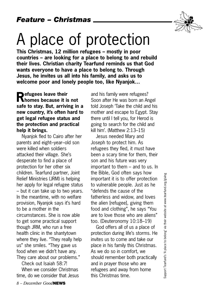## A place of protection

**This Christmas, 12 million refugees – mostly in poor countries – are looking for a place to belong to and rebuild their lives. Christian charity Tearfund reminds us that God wants everyone to have a place to belong to. Through Jesus, he invites us all into his family, and asks us to welcome poor and lonely people too, like Nyanjok…**

**Refugees leave their homes because it is not safe to stay. But, arriving in a new country, it's often hard to get legal refugee status and the protection and practical help it brings.**

Nyanjok fled to Cairo after her parents and eight–year–old son were killed when soldiers attacked their village. She's desperate to find a place of protection for her other six children. Tearfund partner, Joint Relief Ministries (JRM) is helping her apply for legal refugee status – but it can take up to two years. In the meantime, with no welfare provision, Nyanjok says it's hard to be a mother in the circumstances. She is now able to get some practical support though JRM, who run a free health clinic in the shantytown where they live. "They really help us" she smiles. "They gave us food when we didn't have any. They care about our problems."

Check out Isaiah 58:7!

When we consider Christmas time, do we consider that Jesus

and his family were refugees? Soon after He was born an Angel told Joseph 'Take the child and his mother and escape to Egypt. Stay there until I tell you, for Herod is going to search for the child and kill him'. (Matthew 2:13–15)

Jesus needed Mary and Joseph to protect him. As refugees they fled, it must have been a scary time for them, their son and his future was very important to them – and to us. In the Bible, God often says how important it is to offer protection to vulnerable people. Just as he "defends the cause of the fatherless and widow, and loves the alien [refugee], giving them food and clothing", he says "You are to love those who are aliens" too. (Deuteronomy 10:18–19)

God offers all of us a place of protection during life's storms. He invites us to come and take our place in his family this Christmas. As we do so in comfort, we should remember both practically and in prayer those who are refugees and away from home this Christmas time.

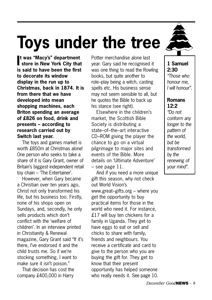## **Toys under the tree**

**I store in New York City that t was "Macy's" department is said to have been the first to decorate its window display in the run up to Christmas, back in 1874. It is from there that we have developed into mean shopping machines, each Briton spending an average of £826 on food, drink and presents – according to research carried out by Switch last year.**

The toys and games market is worth £850m at Christmas alone! One person who seeks to take a share of it is Gary Grant, owner of Britain's biggest independent retail toy chain – 'The Entertainer'.

However, when Gary became a Christian over ten years ago, Christ not only transformed his life, but his business too. Firstly, none of his shops open on Sundays, and, secondly, he only sells products which don't conflict with the 'welfare of children'. In an interview printed in Christianity & Renewal magazine, Gary Grant said "If it's there, I've endorsed it and the child trusts me. So if we're stocking something, I want to make sure it isn't poison."

That decision has cost the company £400,000 in Harry

Potter merchandise alone last year. Gary said he recognised it was one thing to read the Rowling books, but quite another to role–play being a witch, casting spells etc. His business sense may not seem sensible to all, but he quotes the Bible to back up his stance (see right).

Elsewhere in the children's market, the Scottish Bible Society is distributing a state–of–the–art interactive CD–ROM giving the player the chance to go on a virtual pilgrimage to major sites and events of the Bible. More details on 'Ultimate Adventure' – see page 11.

And if you need a more unique gift this season, why not check out World Vision's www.great–gifts.org – where you get the opportunity to buy practical items for those in the world who need it. For instance, £17 will buy ten chickens for a family in Uganda. They get to have eggs to eat or sell and chicks to share with family, friends and neighbours. You receive a certificate and card to give to the person who you are buying the gift for. They get to know that their present opportunity has helped someone who really needs it. See page 10.



**1 Samuel 2:30** *"Those who honour me, I will honour".*

#### **Romans 12:2**

*"Do not conform any longer to the pattern of the world, but be transformed by the renewing of your mind".*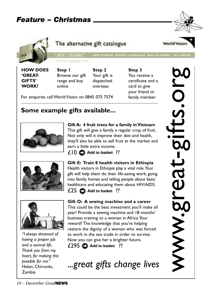

**HOW DOES 'GREAT-GIFTS' WORK?** 

You are here, backs Post 1 Here-**Step 1** Browse our gift range and buy online

**Step 2** Your gift is dispatched overseas

GRTS | MY BARET | HOW TO ORDER REQUEST A CATALOGUE REAL LIFE STORES TILL A RESID

The alternative gift catalogue

**Step 3**  You receive a certificate and a card to give your friend or family member

For enquiries call World Vision on 0845 075 7574

#### **Some example gifts available...**



**Gift A: 4 fruit trees for a family in Vietnam**  This gift will give a family a regular crop of fruit. Not only will it improve their diet and health, they'll also be able to sell fruit at the market and earn a little extra income.

 $£10$  **C** Add to basket ??



**Gift E: Train 8 health visitors in Ethiopia**  Health visitors in Ethiopia play a vital role.Your gift will help them do their life-saving work, going into family homes and telling people about basic healthcare and educating them about HIV/AIDS.  $£25$   $□$  Add to basket ??



*"I always dreamed of having a proper job and a normal life. Thank you from my heart, for making this possible for me."* Helen, Chirundu, Zambia

#### **Gift O: A sewing machine and a career**

This could be the best investment you'll make all year! Provide a sewing machine and 18 months' business training to a woman in Africa.Your reward? The knowledge that you're helping restore the dignity of a woman who was forced to work in the sex trade in order to survive. Now you can give her a brighter future.  $£295$  **Add to basket** ??

*...great gifts change lives*

www.great-gifts.org ts.org MWW.81691-8



World Vision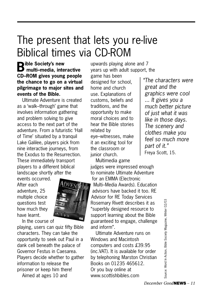## The present that lets you re-live Biblical times via CD-ROM

**Bible Society's new multi–media, interactive CD–ROM gives young people the chance to go on a virtual pilgrimage to major sites and events of the Bible.**

Ultimate Adventure is created as a 'walk–through' game that involves information gathering and problem solving to give access to the next part of the adventure. From a futuristic 'Hall of Time' situated by a tranquil Lake Galilee, players pick from nine interactive journeys, from the Exodus to the Resurrection. These immediately transport players to a different biblical landscape shortly after the

events occurred. After each adventure, 25 multiple choice questions test how much they have learnt.



In the course of

playing, users can quiz fifty Bible characters. They can take the opportunity to seek out Paul in a dank cell beneath the palace of Governor Festus in Caesarea. Players decide whether to gather information to release the prisoner or keep him there! Aimed at ages 10 and

upwards playing alone and 7 years up with adult support, the

game has been designed for school, home and church use. Explanations of customs, beliefs and traditions, and the opportunity to make moral choices and to hear the Bible stories related by eye–witnesses, make it an exciting tool for the classroom or junior church.

Multimedia game judges were impressed enough to nominate Ultimate Adventure for an EMMA (Electronic Multi–Media Awards). Education advisors have backed it too. RE Advisor for RE Today Services Rosemary Rivett describes it as "superbly designed resource to support learning about the Bible guaranteed to engage, challenge and inform".

Ultimate Adventure runs on Windows and Macintosh computers and costs £39.95 (inc.VAT). It is available for order by telephoning Marston Christian Books on 01235 465612. Or you buy online at www.scottishbibles.com

*"The characters were great and the graphics were cool ... It gives you a much better picture of just what it was like in those days. The scenery and clothes make you feel so much more part of it."* Freya Scott, 15.

> Source: Word In Action, Bible Society Magazine, WInter 02/03Source: Word In Action, Bible Society Magazine, Winter 02/03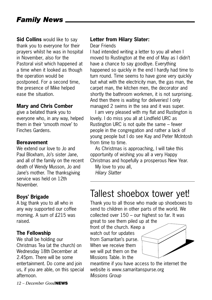**Sid Collins** would like to say thank you to everyone for their prayers whilst he was in hospital in November, also for the Pastoral visit which happened at a time when it looked as though the operation would be postponed. For a second time, the presence of Mike helped ease the situation.

#### **Mary and Chris Comber**

give a belated thank you to everyone who, in any way, helped them in their 'smooth move' to Finches Gardens.

#### **Bereavement**

We extend our love to Jo and Paul Bloxham, Jo's sister Jane, and all of the family on the recent death of Wendy Musson, Jo and Jane's mother. The thanksgiving service was held on 12th November.

#### **Boys' Brigade**

A big thank you to all who in any way supported our coffee morning. A sum of £215 was raised.

#### **The Fellowship**

We shall be holding our Christmas Tea (at the church) on Wednesday 18th December at 2.45pm. There will be some entertainment. Do come and join us, if you are able, on this special afternoon.

#### **Letter from Hilary Slater:**

Dear Friends

I had intended writing a letter to you all when I moved to Rustington at the end of May as I didn't have a chance to say goodbye. Everything happened so quickly in the end I hardly had time to turn round. Time seems to have gone very quickly but what with the electricity man, the gas man, the carpet man, the kitchen men, the decorator and shortly the bathroom workmen, it is not surprising. And then there is waiting for deliveries! I only managed 2 swims in the sea and it was super.

I am very pleased with my flat and Rustington is lovely. I do miss you all at Lindfield URC as Rustington URC is not quite the same – fewer people in the congregation and rather a lack of young people but I do see Kay and Peter McIntosh from time to time.

As Christmas is approaching, I will take this opportunity of wishing you all a very Happy Christmas and hopefully a prosperous New Year.

My love to you all, *Hilary Slatter*

### Tallest shoebox tower yet!

Thank you to all those who made up shoeboxes to send to children in other parts of the world. We collected over 150 – our highest so far. It was great to see them piled up at the

front of the church. Keep a watch out for updates from Samaritan's purse. When we receive them we will put them on the Missions Table. In the



meantime if you have access to the internet the website is www.samaritanspurse.org *Missions Group*

*12 – December Good***NEWS**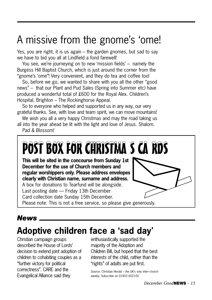## A missive from the gnome's 'ome!

Yes, you are right, it is us again – the garden gnomes, but sad to say we have to bid you all at Lindfield a fond farewell!

You see, we're journeying on to new 'mission fields' – namely the Burgess Hill Baptist Church, which is just around the corner from the "gnome's 'ome"! Very convenient, and they do tea and coffee too!

So, before we go, we wanted to share with you all the other "good news" – that our Plant and Pud Sales (Spring into Summer etc) have produced a wonderful total of £600 for the Royal Alex. Children's Hospital, Brighton – The Rockinghorse Appeal.

So to everyone who helped and supported us in any way, our very grateful thanks. See, with love and team spirit, we can move mountains!

We wish you all a very happy Christmas and may the road taking us all into the year ahead be lit with the light and love of Jesus. Shalom.

*Pad & Blossom!*



#### *News*

### **Adoptive children face a 'sad day'**

Christian campaign groups described the House of Lords' decision to extend joint adoption of children to cohabiting couples as a "further victory for political correctness". CARE and the Evangelical Alliance said they

enthusiastically supported the majority of the Adoption and Children Bill, but hoped that the best interests of the child, rather than the "rights" of adults are put first.

Source: Christian Herald – the UK's only inter–church weekly. Subscribe on 01903 602100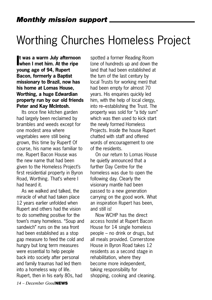## Worthing Churches Homeless Project

**I when I met him. At the ripe t was a warm July afternoon young age of 94, Rupert Bacon, formerly a Baptist missionary to Brazil, now has his home at Lomas House, Worthing, a huge Edwardian property run by our old friends Peter and Kay McIntosh.** 

Its once fine kitchen garden had largely been reclaimed by brambles and weeds except for one modest area where vegetables were still being grown, this time by Rupert! Of course, his name was familiar to me. Rupert Bacon House was the new name that had been given to the Homeless Project's first residential property in Byron Road, Worthing. That's where I had heard it.

As we walked and talked, the miracle of what had taken place 12 years earlier unfolded when Rupert and others had the vision to do something positive for the town's many homeless. "Soup and sandwich" runs on the sea front had been established as a stop gap measure to feed the cold and hungry but long term measures were essential to help people back into society after personal and family traumas had led them into a homeless way of life. Rupert, then in his early 80s, had

spotted a former Reading Room (one of hundreds up and down the land that had been established at the turn of the last century by local Trusts for working men) that had been empty for almost 70 years. His enquiries quickly led him, with the help of local clergy, into re–establishing the Trust. The property was sold for "a tidy sum" which was then used to kick start the newly formed Homeless Projects. Inside the house Rupert chatted with staff and offered words of encouragement to one of the residents.

On our return to Lomas House he quietly announced that a further Day Centre for the homeless was due to open the following day. Clearly the visionary mantle had been passed to a new generation carrying on the good work. What an inspiration Rupert has been, and still is!

Now WCHP has the direct access hostel at Rupert Bacon House for 14 single homeless people – no drink or drugs, but all meals provided. Cornerstone House in Byron Road takes 12 residents as a second stage in rehabilitation, where they become more independent, taking responsibility for shopping, cooking and cleaning.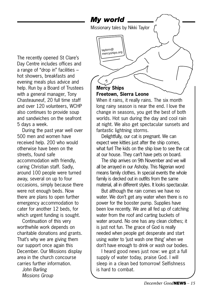The recently opened St Clare's Day Centre includes offices and a range of "drop in" facilities – hot showers, breakfasts and evening meals plus advice and help. Run by a Board of Trustees with a general manager, Tony Chasteauneuf, 20 full time staff and over 120 volunteers, WCHP also continues to provide soup and sandwiches on the seafront 5 days a week.

During the past year well over 500 men and women have received help. 200 who would otherwise have been on the streets, found safe accommodation with friendly, caring Christian staff. Sadly, around 100 people were turned away, several on up to four occasions, simply because there were not enough beds. Now there are plans to open further emergency accommodation to cater for another 12 beds, for which urgent funding is sought.

Continuation of this very worthwhile work depends on charitable donations and grants. That's why we are giving them our support once again this December. Our Missions display area in the church concourse carries further information.

*John Barling Missions Group*

#### **Mercy Ships Freetown, Sierra Leone**

*My world*

taylorn@ mercyships.org

Missionary tales by Nikki Taylor

When it rains, it really rains. The six month long rainy season is near the end. I love the change in seasons, you get the best of both worlds. Hot sun during the day and cool rain at night. We also get spectacular sunsets and fantastic lightning storms.

Delightfully, our cat is pregnant. We can expect wee kitties just after the ship comes. what fun! The kids on the ship love to see the cat at our house. They can't have pets on board.

The ship arrives on 9th November and we will all be arrayed in our Ashoby. This Nigerian word means family clothes. In special events the whole family is decked out in outfits from the same material, all in different styles. It looks spectacular.

But although the rain comes we have no water. We don't get any water when there is no power for the booster pump. Supplies have been low recently. We are all fed up of catching water from the roof and carting buckets of water around. No one has any clean clothes; it is just not fun. The grace of God is really needed when people get desperate and start using water to 'just wash one thing' when we don't have enough to drink or wash our bodies.

I heard good news just now: we got a full supply of water today, praise God. I will sleep in a clean bed tomorrow! Selfishness is hard to combat.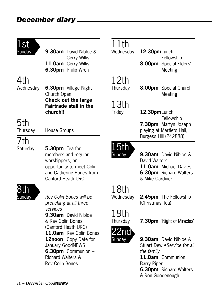| 1st<br>Sunday    | <b>9.30am</b> David Nibloe &                                                                                                                                                                                                      | 11th<br>Wednesday          | 12.30pmLunch                                                                                                                          |
|------------------|-----------------------------------------------------------------------------------------------------------------------------------------------------------------------------------------------------------------------------------|----------------------------|---------------------------------------------------------------------------------------------------------------------------------------|
|                  | <b>Gerry Willis</b><br>11.0am Gerry Willis<br>6.30pm Philip Wren                                                                                                                                                                  |                            | Fellowship<br>8.00pm Special Elders'<br>Meeting                                                                                       |
| 4th<br>Wednesday | <b>6.30pm</b> Village Night -<br>Church Open<br>Check out the large<br><b>Fairtrade stall in the</b><br>church!!                                                                                                                  | 12th<br>Thursday           | 8.00pm Special Church<br>Meeting                                                                                                      |
|                  |                                                                                                                                                                                                                                   | 13 <sub>th</sub><br>Friday | 12.30pmLunch<br>Fellowship                                                                                                            |
| 5th<br>Thursday  | House Groups                                                                                                                                                                                                                      |                            | 7.30pm Martyn Joseph<br>playing at Martlets Hall,<br>Burgess Hill (242888)                                                            |
| 7th<br>Saturday  | 5.30pm Tea for<br>members and regular<br>worshippers, an<br>opportunity to meet Colin<br>and Catherine Bones from<br>Canford Heath URC                                                                                            | 15th<br>Sunday             | 9.30am David Nibloe &<br>David Walters<br>11.0am Michael Davies<br>6.30pm Richard Walters<br>& Mike Gardiner                          |
| 8th<br>Sunday    | Rev Colin Bones will be<br>preaching at all three                                                                                                                                                                                 | 18th<br>Wednesday          | 2.45pm The Fellowship<br>(Christmas Tea)                                                                                              |
|                  | services<br>9.30am David Nibloe<br>& Rev Colin Bones<br>(Canford Heath URC)<br>11.0am Rev Colin Bones<br>12noon Copy Date for<br>January GoodNEWS<br>6.30pm Communion -<br><b>Richard Walters &amp;</b><br><b>Rev Colin Bones</b> | 19th<br>Thursday           | 7.30pm 'Night of Miracle                                                                                                              |
|                  |                                                                                                                                                                                                                                   | 22nd<br>Sunday             | 9.30am David Nibloe &<br>Stuart Dew . Service for a<br>the family<br>11.0am Communion<br><b>Barry Piper</b><br>6.30pm Richard Walters |

#### Meeting **pm** Special Church Meeting **10pm**Lunch Fellowship **7.30pm** Martyn Joseph ng at Martlets Hall, ess Hill (242888) **am** David Nibloe & Walters **am** Michael Davies **6.30pm** Richard Walters & Mike Gardiner

**pm** 'Night of Miracles'

**am** David Nibloe & t Dew • Service for all *the family* **am** Communion Piper **6.30pm** Richard Walters & Ron Goodenough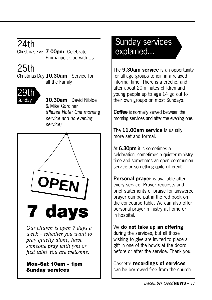## 24th

Christmas Eve **7.00pm** Celebrate Emmanuel, God with Us

### 25th

Christmas Day **10.30am** Service for all the Family



Sunday **10.30am** David Nibloe & Mike Gardiner *(Please Note: One morning service and no evening service)*



*Our church is open 7 days a week – whether you want to pray quietly alone, have someone pray with you or just talk! You are welcome.*

#### **Mon–Sat 10am - 1pm Sunday services**

### Sunday services explained...

The **9.30am service** is an opportunity for all age groups to join in a relaxed informal time. There is a crèche, and after about 20 minutes children and young people up to age 14 go out to their own groups on most Sundays.

**Coffee** is normally served between the morning services and after the evening one.

The **11.00am service** is usually more set and formal.

At **6.30pm** it is sometimes a celebration, sometimes a quieter ministry time and sometimes an open communion service or something quite different!

**Personal prayer** is available after every service. Prayer requests and brief statements of praise for answered prayer can be put in the red book on the concourse table. We can also offer personal prayer ministry at home or in hospital.

#### We **do not take up an offering** during the services, but all those wishing to give are invited to place a gift in one of the bowls at the doors

Cassette **recordings of services** can be borrowed free from the church.

before or after the service. Thank you.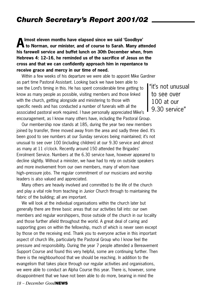#### *Church Secretary's Report 2001/02*

**Almost eleven months have elapsed since we said 'Goodbye' to Norman, our minister, and of course to Sarah. Many attended his farewell service and buffet lunch on 30th December when, from Hebrews 4: 12–16, he reminded us of the sacrifice of Jesus on the cross and that we can confidently approach him in repentance to receive grace and mercy in our time of need.**

Within a few weeks of his departure we were able to appoint Mike Gardiner as part time Pastoral Assistant. Looking back we have been able to see the Lord's timing in this. He has spent considerable time getting to know as many people as possible, visiting members and those linked with the church, getting alongside and ministering to those with specific needs and has conducted a number of funerals with all the associated pastoral work required. I have personally appreciated Mike's encouragement, as I know many others have, including the Pastoral Group.

Our membership now stands at 185, during the year two new members joined by transfer, three moved away from the area and sadly three died. It's been good to see numbers at our Sunday services being maintained; it's not unusual to see over 100 (including children) at our 9.30 service and almost as many at 11 o'clock. Recently around 150 attended the Brigades' Enrolment Service. Numbers at the 6.30 service have, however appeared to decline slightly. Without a minister, we have had to rely on outside speakers and more involvement from our own members, many of whom have high–pressure jobs. The regular commitment of our musicians and worship leaders is also valued and appreciated.

Many others are heavily involved and committed to the life of the church and play a vital role from teaching in Junior Church through to maintaining the fabric of the building; all are important.

We will look at the individual organisations within the church later but generally there are three basic areas that our activities fall into: our own members and regular worshippers, those outside of the church in our locality and those further afield throughout the world. A great deal of caring and supporting goes on within the fellowship, much of which is never seen except by those on the receiving end. Thank you to everyone active in this important aspect of church life, particularly the Pastoral Group who I know feel the pressure and responsibility. During the year 7 people attended a Bereavement Support Course and found this very helpful, some are continuing further. Then there is the neighbourhood that we should be reaching. In addition to the evangelism that takes place through our regular activities and organisations, we were able to conduct an Alpha Course this year. There is, however, some disappointment that we have not been able to do more, bearing in mind the

"it's not unusual to see over 100 at our 9.30 service"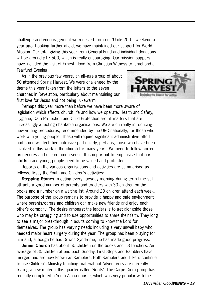challenge and encouragement we received from our 'Unite 2001' weekend a year ago. Looking further afield, we have maintained our support for World Mission. Our total giving this year from General Fund and individual donations will be around £17,500, which is really encouraging. Our mission suppers have included the visit of Ernest Lloyd from Christian Witness to Israel and a Tearfund Evening.

As in the previous few years, an all–age group of about 50 attended Spring Harvest. We were challenged by the theme this year taken from the letters to the seven churches in Revelation, particularly about maintaining our first love for Jesus and not being 'lukewarm'.



Perhaps this year more than before we have been more aware of legislation which affects church life and how we operate. Health and Safety, Hygiene, Data Protection and Child Protection are all matters that are increasingly affecting charitable organisations. We are currently introducing new vetting procedures, recommended by the URC nationally, for those who work with young people. These will require significant administrative effort and some will feel them intrusive particularly, perhaps, those who have been involved in this work in the church for many years. We need to follow correct procedures and use common sense. It is important to emphasise that our children and young people need to be valued and protected.

Reports on the various organisations and activities are summarised as follows, firstly the Youth and Children's activities:

**Stepping Stones**, meeting every Tuesday morning during term time still attracts a good number of parents and toddlers with 30 children on the books and a number on a waiting list. Around 20 children attend each week. The purpose of the group remains to provide a happy and safe environment where parents/carers and children can make new friends and enjoy each other's company. The desire amongst the leaders is to get alongside those who may be struggling and to use opportunities to share their faith. They long to see a major breakthrough in adults coming to know the Lord for themselves. The group has varying needs including a very unwell baby who needed major heart surgery during the year. The group has been praying for him and, although he has Downs Syndrome, he has made good progress.

**Junior Church** has about 50 children on the books and 18 teachers. An average of 35 children attend each Sunday. First Steps and Ramblers have merged and are now known as Ramblers. Both Ramblers and Hikers continue to use Children's Ministry teaching material but Adventurers are currently trialing a new material this quarter called 'Roots'. The Carpe Diem group has recently completed a Youth Alpha course, which was very popular with the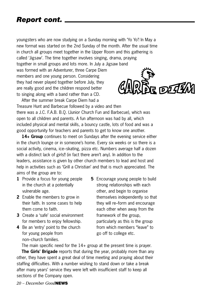#### *Report cont.*

youngsters who are now studying on a Sunday morning with 'Yo Yo'! In May a new format was started on the 2nd Sunday of the month. After the usual time in church all groups meet together in the Upper Room and this gathering is called 'Jigsaw'. The time together involves singing, drama, praying

together in small groups and lots more. In July a Jigsaw band

was formed with an Adventurer, three Carpe Diem members and one young person. Considering they had never played together before July, they are really good and the children respond better to singing along with a band rather than a CD.



After the summer break Carpe Diem had a Treasure Hunt and Barbecue followed by a video and then there was a J.C. F.A.B. B.Q. (Junior Church Fun and Barbecue), which was open to all children and parents. A fun afternoon was had by all, which included physical and mental skills, a bouncy castle, lots of food and was a good opportunity for teachers and parents to get to know one another.

**14+ Group** continues to meet on Sundays after the evening service either in the church lounge or in someone's home. Every six weeks or so there is a social activity, cinema, ice–skating, pizza etc. Numbers average half a dozen with a distinct lack of girls!! (in fact there aren't any). In addition to the leaders, assistance is given by other church members to lead and host and help in activities such as 'Grill a Christian' and that is much appreciated. The aims of the group are to:

- **1** Provide a focus for young people in the church at a potentially vulnerable age.
- **2** Enable the members to grow in their faith. In some cases to help them come to faith.
- **3** Create a 'safe' social environment for members to enjoy fellowship.
- **4** Be an 'entry' point to the church for young people from non–church families.
- **5** Encourage young people to build strong relationships with each other, and begin to organise themselves independently so that they will re–form and encourage each other when away from the framework of the group, particularly as this is the group from which members "leave" to go off to college etc.

The main specific need for the 14+ group at the present time is prayer.

**The Girls' Brigade** reports that during the year, probably more than any other, they have spent a great deal of time meeting and praying about their staffing difficulties. With a number wishing to stand down or take a break after many years' service they were left with insufficient staff to keep all sections of the Company open.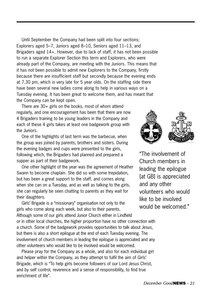Until September the Company had been split into four sections; Explorers aged 5–7, Juniors aged 8–10, Seniors aged 11–13, and Brigaders aged 14+. However, due to lack of staff, it has not been possible to run a separate Explorer Section this term and Explorers, who were already part of the Company, are meeting with the Juniors. This means that it has not been possible to admit new Explorers to the Company, firstly because there are insufficient staff but secondly because the evening ends at 7.30 pm, which is very late for 5 year olds. On the staffing side there have been several new ladies come along to help in various ways on a Tuesday evening. It has been great to welcome them, and has meant that the Company can be kept open.

There are 30+ girls on the books, most of whom attend regularly, and one encouragement has been that there are now 4 Brigaders training to be young leaders in the Company and each of these 4 girls takes at least one badgework group with the Juniors.

One of the highlights of last term was the barbecue, when the group was joined by parents, brothers and sisters. During the evening badges and cups were presented to the girls, following which, the Brigaders had planned and prepared a supper as part of their badgework.

One other highlight of the year was the agreement of Heather Swann to become chaplain. She did so with some trepidation, but has been a great support to the staff, and comes along when she can on a Tuesday, and as well as talking to the girls, she can regularly be seen chatting to parents as they wait for their daughters.

Girls' Brigade is a "missionary" organisation not only to the girls who come along each week, but also to their parents. Although some of our girls attend Junior Church either in Lindfield or in other local churches, the higher proportion have no other connection with a church. Some of the badgework provides opportunities to talk about Jesus, but there is also a short epilogue at the end of each Tuesday evening. The involvement of church members in leading the epilogue is appreciated and any other volunteers who would like to be involved would be welcomed.

Please pray for the Company as a whole, and also for each individual girl and helper within the Company, as they attempt to fulfil the aim of Girls' Brigade, which is "To help girls become followers of our Lord Jesus Christ, and by self control, reverence and a sense of responsibility, to find true enrichment of life".



"The involvement of Church members in leading the epilogue [at GB] is appreciated and any other volunteers who would like to be involved would be welcomed."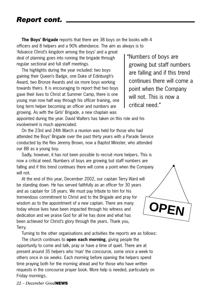#### *Report cont.*

**The Boys' Brigade** reports that there are 38 boys on the books with 4 officers and 8 helpers and a 90% attendance. The aim as always is to

'Advance Christ's kingdom among the boys' and a great deal of planning goes into running the brigade through regular sectional and full staff meetings.

The highlights during the year included: two boys gaining their Queen's Badge, one Duke of Edinburgh's Award, two Bronze Awards and six more boys working towards theirs. It is encouraging to report that two boys gave their lives to Christ at Summer Camp, there is one young man now half way through his officer training, one long term helper becoming an officer and numbers are growing. As with the Girls' Brigade, a new chaplain was

"Numbers of boys are growing but staff numbers are falling and if this trend continues there will come a point when the Company will not. This is now a critical need."

appointed during the year. David Walters has taken on this role and his involvement is much appreciated.

On the 23rd and 24th March a reunion was held for those who had attended the Boys' Brigade over the past thirty years with a Parade Service conducted by the Rev Jeremy Brown, now a Baptist Minister, who attended our BB as a young boy.

Sadly, however, it has not been possible to recruit more helpers. This is now a critical need. Numbers of boys are growing but staff numbers are falling and if this trend continues there will come a point when the Company will not.

At the end of this year, December 2002, our captain Terry Ward will be standing down. He has served faithfully as an officer for 30 years and as captain for 18 years. We must pay tribute to him for his tremendous commitment to Christ and to the Brigade and pray for wisdom as to the appointment of a new captain. There are many today whose lives have been impacted through his witness and dedication and we praise God for all he has done and what has been achieved for Christ's glory through the years. Thank you, Terry.

Turning to the other organisations and activities the reports are as follows:

The church continues to **open each morning**, giving people the opportunity to come and talk, pray or have a time of quiet. There are at present around 35 helpers who 'man' the concourse, some once a week to others once in six weeks. Each morning before opening the helpers spend time praying both for the morning ahead and for those who have written requests in the concourse prayer book. More help is needed, particularly on Friday mornings.

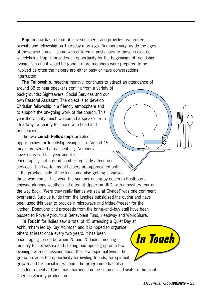**Pop–In** now has a team of eleven helpers, and provides tea, coffee, biscuits and fellowship on Thursday mornings. Numbers vary, as do the ages of those who come – some with children in pushchairs to those in electric wheelchairs. Pop–In provides an opportunity for the beginnings of friendship evangelism and it would be good if more members were prepared to be involved as often the helpers are either busy or have conversations interrupted.

**The Fellowship**, meeting monthly, continues to attract an attendance of around 35 to hear speakers coming from a variety of backgrounds: Sightsavers, Social Services and our own Pastoral Assistant. The object is to develop Christian fellowship in a friendly atmosphere and to support the on–going work of the church. This year the Charity Lunch welcomed a speaker from 'Headway', a charity for those with head and brain injuries.

The two **Lunch Fellowships** are also opportunities for friendship evangelism. Around 45 meals are served at each sitting. Numbers have increased this year and it is encouraging that a good number regularly attend our services. The two teams of helpers are appreciated both in the practical side of the lunch and also getting alongside those who come. This year, the summer outing by coach to Eastbourne enjoyed glorious weather and a tea at Upperton URC, with a mystery tour on the way back. 'Were they really llamas we saw at Glynde?' was one comment overheard. Surplus funds from the lunches subsidised the outing and have been used this year to provide a microwave and fridge/freezer for the kitchen. Donations and proceeds from the bring–and–buy stall have been passed to Royal Agricultural Benevolent Fund, Headway and WorldShare.

'**In Touch**' for ladies saw a total of 45 attending a Quiet Day at Ashburnham led by Kay McIntosh and it is hoped to organise others at least once every two years. It has been encouraging to see between 20 and 25 ladies meeting monthly for fellowship and sharing and opening up on a few evenings with discussions about their own spiritual lives. The group provides the opportunity for inviting friends, for spiritual growth and for social interaction. The programme has also included a meal at Christmas, barbecue in the summer and visits to the local Operatic Society production.

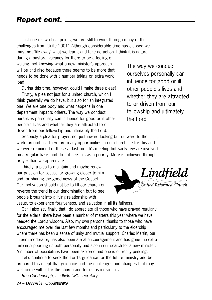#### *Report cont.*

Just one or two final points; we are still to work through many of the challenges from 'Unite 2001'. Although considerable time has elapsed we must not 'file away' what we learnt and take no action. I think it is natural

during a pastoral vacancy for there to be a feeling of waiting, not knowing what a new minister's approach will be and also because there seems to be more that needs to be done with a number taking on extra work load.

During this time, however, could I make three pleas? Firstly, a plea not just for a united church, which I think generally we do have, but also for an integrated one. We are one body and what happens in one department impacts others. The way we conduct ourselves personally can influence for good or ill other people's lives and whether they are attracted to or driven from our fellowship and ultimately the Lord.

The way we conduct ourselves personally can influence for good or ill other people's lives and whether they are attracted to or driven from our fellowship and ultimately the Lord

Secondly a plea for prayer, not just inward looking but outward to the world around us. There are many opportunities in our church life for this and we were reminded of these at last month's meeting but sadly few are involved on a regular basis and do not see this as a priority. More is achieved through prayer than we appreciate.

Thirdly, a plea to maintain and maybe renew our passion for Jesus, for growing closer to him and for sharing the good news of the Gospel. Our motivation should not be to fill our church or reverse the trend in our denomination but to see people brought into a living relationship with

Jesus, to experience forgiveness, and salvation in all its fullness. Can I also say finally that I do appreciate all those who have prayed regularly for the elders, there have been a number of matters this year where we have needed the Lord's wisdom. Also, my own personal thanks to those who have encouraged me over the last few months and particularly to the eldership where there has been a sense of unity and mutual support. Charles Martin, our interim moderator, has also been a real encouragement and has gone the extra mile in supporting us both personally and also in our search for a new minister. A number of possibilities have been explored and one is currently pending.

Let's continue to seek the Lord's guidance for the future ministry and be prepared to accept that guidance and the challenges and changes that may well come with it for the church and for us as individuals.

*Ron Goodenough, Lindfield URC secretary*

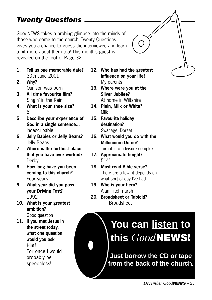#### *Twenty Questions*

GoodNEWS takes a probing glimpse into the minds of those who come to the church! Twenty Questions gives you a chance to guess the interviewee and learn a bit more about them too! This month's guest is revealed on the foot of Page 32.

- **1. Tell us one memorable date?** 30th June 2001
- **2. Why?** Our son was born
- **3. All time favourite film?** Singin' in the Rain
- **4. What is your shoe size?** 5
- **5. Describe your experience of God in a single sentence...** Indescribable
- **6. Jelly Babies or Jelly Beans?** Jelly Beans
- **7. Where is the furthest place that you have ever worked?** Derby
- **8. How long have you been coming to this church?** Four years
- **9. What year did you pass your Driving Test?** 1992
- **10. What is your greatest ambition?** Good question

**11. If you met Jesus in the street today, what one question would you ask Him?** For once I would probably be speechless!

- **12. Who has had the greatest influence on your life?** My parents
- **13. Where were you at the Silver Jubilee?** At home in Wiltshire
- **14. Plain, Milk or White?** Milk
- **15. Favourite holiday destination?** Swanage, Dorset
- **16. What would you do with the Millennium Dome?**

Turn it into a leisure complex

- **17. Approximate height?** 5' 4"
- **18. Most-read Bible verse?** There are a few, it depends on what sort of day I've had
- **19. Who is your hero?** Alan Titchmarsh
- **20. Broadsheet or Tabloid?** Broadsheet

## **You can listen to this** *Good***NEWS!**

**Just borrow the CD or tape from the back of the church.**

*December Good***NEWS** *– 25*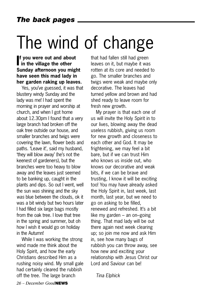## The wind of change

**I in the village the other f you were out and about Sunday afternoon you might have seen this mad lady in her garden raking up leaves.** 

Yes, you've guessed, it was that blustery windy Sunday and the lady was me! I had spent the morning in prayer and worship at church, and when I got home about 12.30pm I found that a very large branch had broken off the oak tree outside our house, and smaller branches and twigs were covering the lawn, flower beds and paths. 'Leave it', said my husband, 'they will blow away' (he's not the keenest of gardeners), but the branches were too heavy to blow away and the leaves just seemed to be banking up, caught in the plants and dips. So out I went, well the sun *was* shining and the sky *was* blue between the clouds, ok it was a bit windy but two hours later I had filled six large bags mostly from the oak tree. I love that tree in the spring and summer, but oh how I wish it would go on holiday in the Autumn!

While I was working the strong wind made me think about the Holy Spirit, and how the early Christians described Him as a rushing noisy wind. My small gale had certainly cleared the rubbish off the tree. The large branch

that had fallen still had green leaves on it, but maybe it was rotten at its core and needed to go. The smaller branches and twigs were weak and maybe only decorative. The leaves had turned yellow and brown and had shed ready to leave room for fresh new growth.

My prayer is that each one of us will invite the Holy Spirit in to our lives, blowing away the dead useless rubbish, giving us room for new growth and closeness to each other and God. It may be frightening, we may feel a bit bare, but if we can trust Him who knows us inside out, who knows our decorative and weak bits, if we can be brave and trusting, I know it will be exciting too! You may have already asked the Holy Spirit in, last week, last month, last year, but we need to go on asking to be filled, renewed and refreshed. It's a bit like my garden – an on–going thing. That mad lady will be out there again next week clearing up; so join me now and ask Him in, see how many bags of rubbish you can throw away, see how new and exciting your relationship with Jesus Christ our Lord and Saviour can be!

*Tina Elphick*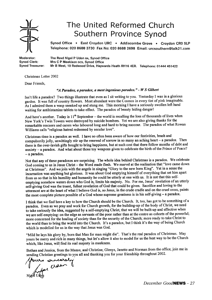

#### The United Reformed Church Southern Province Synod

Synod Office . East Croydon URC . Addiscombe Grove . Croydon CR0 5LP Telephone: 020 8688 3730 Fax No: 020 8688 2698 Email: urcsouthern@talk21.com

Moderator: The Revd Nigel P Uden BA, Synod Office **Synod Clerk:** Mrs C P Meekison DCS, Synod Office Mr B West, 10 Redwood Drive, Haywards Heath RH16 4ER. Telephone: 01444 451422 Synod Treasurer:

Christmas Letter 2002

Dear Friends.

#### "A Paradox, a paradox, a most ingenious paradox." - W S Gilbert

Isn't life a paradox? Two things illustrate that even as I sit writing to you. Yesterday I was in a glorious garden. It was full of country flowers. Most abundant were the Cosmos in every tint of pink imaginable. As I admired them a wasp sneaked up and stung me. This morning I have a seriously swollen left hand waiting for antihistamine tablets to take effect. The paradox of beauty hiding danger!

And here's another. Today is  $11<sup>th</sup>$  September - the world is recalling the loss of thousands of lives when New York's Twin Towers were destroyed by suicide bombers. Yet we are also giving thanks for the remarkable rescuers and carers who laboured long and hard to bring succour. The paradox of what Rowan Williams calls "religious hatred redeemed by secular love".

Christmas-time is a paradox as well. I have so often been aware of how our festivities, brash and compulsorily jolly, unwittingly stir up the renewal of sorrow in so many an aching heart - a paradox. Then there is the over-lavish gifts bought to bring happiness, but at such cost that there follow months of debt and  $\frac{1}{2}$  anxiety – a paradox. And what about those toy weapons given to celebrate the birth of the Prince of Peace?  $-$  a paradox.

Not that any of these paradoxes are surprising. The whole idea behind Christmas is a paradox. We celebrate God coming to us in Jesus Christ – the Word made flesh. We marvel at the realisation that "love came down" at Christmas". And we join with the angels in singing "Glory to the new born King". Yet in a sense the incarnation was anything but glorious. It was about God emptying himself of everything that set him apart from us so that in his humility and humanity he could be utterly at one with us. It is not that this selfemptying somehow waters down who God is, limits his majesty. No. For me, Jesus' revelation of an utterly self-giving God was the truest, fullest revelation of God that could be given. Sacrifice and loving to the uttermost are at the heart of what I believe God is, so Jesus, in the crude cradle and on the cruel cross, paints the most complete picture possible of a God whose supreme greatness is in his self-giving – a paradox.

I think that we find here a key to how the Church should be the Church. It, too, has got to be something of a paradox. Even as we pray and work for Church growth, for the building-up of the body of Christ, we need to take seriously the idea, suggested by a self-emptying Christ, that we will be built-up and effective when we are self-emptying: on the edge as servants of the poor rather than at the centre as cohorts of the powerful; more concerned for the healing of society than for the security of the Church; more ready to take Christ to the world than to bring the world into the Church. It's a paradox, but I think it's the way of being Church which is modelled for us in the way that Jesus was God.

"Mild he lays his glory by, born that Man for man might die". That's the real paradox of Christmas. May yours be merry and rich in many things, but let's allow it also to model for us the best way to be the Church which, like Jesus, will find its real majesty in meekness.

Bethan and Jessica, from the Manse, and Christine, Glenys, Janette and Norman from the office, join me in sending Christian greetings to you all and thanking you for your friendship throughout 2002.

a sincerely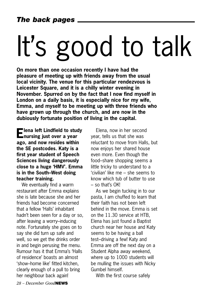# It's good to talk

**On more than one occasion recently I have had the pleasure of meeting up with friends away from the usual local vicinity. The venue for this particular rendezvous is Leicester Square, and it is a chilly winter evening in November. Spurred on by the fact that I now find myself in London on a daily basis, it is especially nice for my wife, Emma, and myself to be meeting up with three friends who have grown up through the church, and are now in the dubiously fortunate position of living in the capital.** 

**Elena left Lindfield to study nursing just over a year ago, and now resides within the SE postcodes. Katy is a first year student of Speech Sciences living dangerously close to a huge 'HMV'. Emma is in the South–West doing teacher training.** 

We eventually find a warm restaurant after Emma explains she is late because she and her friends had become concerned that a fellow 'Halls' inhabitant hadn't been seen for a day or so, after leaving a worry–inducing note. Fortunately she goes on to say she did turn up safe and well, so we get the drinks order in and begin perusing the menu. Rumour has it that Emma's 'Halls of residence' boasts an almost 'show–home like' fitted kitchen, clearly enough of a pull to bring her neighbour back again!

Elena, now in her second year, tells us that she was reluctant to move from Halls, but now enjoys her shared house even more. Even though the food–share shopping seems a little tricky to understand to a 'civilian' like me – she seems to know which tub of butter to use – so that's OK!

As we begin tucking in to our pasta, I am chuffed to learn that their faith has not been left behind in the move. Emma is set on the 11.30 service at HTB, Elena has just found a Baptist church near her house and Katy seems to be having a ball test–driving a few! Katy and Emma are off the next day on a Student Alpha away weekend, where up to 1000 students will be mulling the issues with Nicky Gumbel himself.

With the first course safely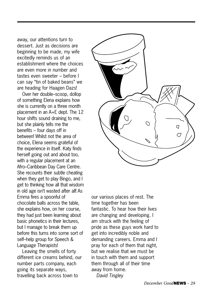away, our attentions turn to dessert. Just as decisions are beginning to be made, my wife excitedly reminds us of an establishment where the choices are even more in number and tastes even sweeter – before I can say "tin of baked beans" we are heading for Haagen Dazs!

Over her double–scoop, dollop of something Elena explains how she is currently on a three month placement in an A+E dept. The 12 hour shifts sound draining to me, but she plainly tells me the benefits – four days off in between! Whilst not the area of choice, Elena seems grateful of the experience in itself. Katy finds herself going out and about too, with a regular placement at an Afro–Caribbean Day Care Centre. She recounts their subtle cheating when they get to play Bingo, and I get to thinking how all that wisdom in old age isn't wasted after all! As Emma fires a spoonful of chocolate balls across the table, she explains how, on her course, they had just been learning about basic phonetics in their lectures, but I manage to break them up before this turns into some sort of self–help group for Speech & Language Therapists!

Leaving the smells of forty different ice creams behind, our number parts company, each going its separate ways, travelling back across town to



our various places of rest. The time together has been fantastic. To hear how their lives are changing and developing. I am struck with the feeling of pride as these guys work hard to get into incredibly noble and demanding careers. Emma and I pray for each of them that night, but we realise that we must be in touch with them and support them through all of their time away from home. *David Tingley*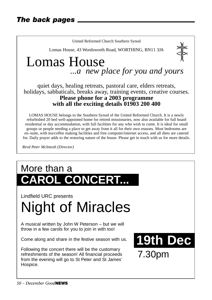

LOMAS HOUSE belongs to the Southern Synod of the United Reformed Church. It is a newly refurbished 20 bed well-appointed home for retired missionaries, now also available for full board residential or day accommodation, with full facilities for any who wish to come. It is ideal for small groups or people needing a place to get away from it all for their own reasons. Most bedrooms are en–suite, with tea/coffee making facilities and free computer/internet access, and all diets are catered for. Daily prayer adds to the restoring nature of the house. Please get in touch with us for more details.

*Revd Peter McIntosh (Director)*

## More than a **ROL CONCERT...**

Lindfield URC presents Night of Miracles

A musical written by John W Peterson – but we will throw in a few carols for you to join in with too!

Come along and share in the festive season with us.

Following the concert there will be the customary refreshments of the season! All financial proceeds from the evening will go to St Peter and St James' Hospice.

**19th Dec** 7.30pm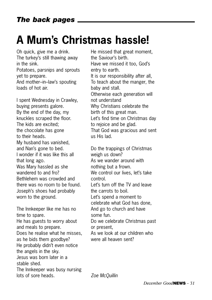## **A Mum's Christmas hassle!**

Oh quick, give me a drink. The turkey's still thawing away in the sink. Potatoes, parsnips and sprouts yet to prepare. And mother–in–law's spouting loads of hot air.

I spent Wednesday in Crawley, buying presents galore. By the end of the day, my knuckles scraped the floor. The kids are excited; the chocolate has gone to their heads. My husband has vanished, and Nan's gone to bed. I wonder if it was like this all that long ago. Was Mary hassled as she wandered to and fro? Bethlehem was crowded and there was no room to be found. Joseph's shoes had probably worn to the ground.

The Innkeeper like me has no time to spare. He has guests to worry about and meals to prepare. Does he realise what he misses, as he bids them goodbye? He probably didn't even notice the angels in the sky. Jesus was born later in a stable shed. The Innkeeper was busy nursing lots of sore heads.

He missed that great moment, the Saviour's birth. Have we missed it too, God's entry to earth. It is our responsibility after all, To teach about the manger, the baby and stall. Otherwise each generation will not understand Why Christians celebrate the birth of this great man. Let's find time on Christmas day to rejoice and be glad. That God was gracious and sent us His lad.

Do the trappings of Christmas weigh us down? As we wander around with nothing but a frown. We control our lives, let's take control. Let's turn off the TV and leave the carrots to boil. Let's spend a moment to celebrate what God has done, And go to church and have some fun. Do we celebrate Christmas past or present, As we look at our children who were all heaven sent?

*Zoe McQuillin*